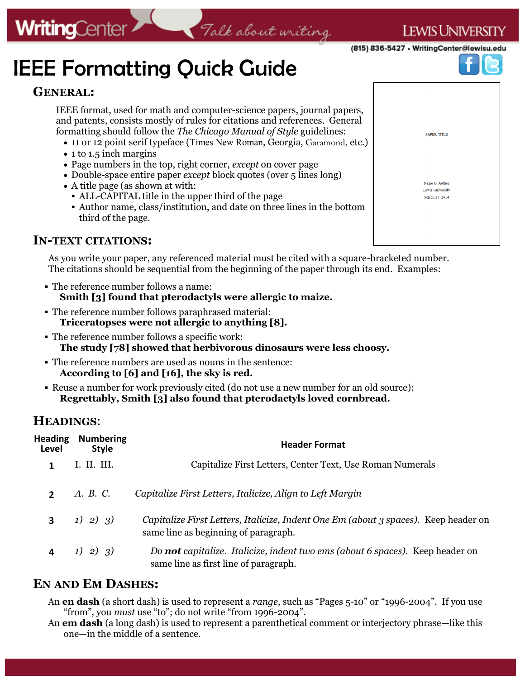# IEEE Formatting Quick Guide

### **GENERAL:**

**WritingCenter** 

IEEE format, used for math and computer-science papers, journal papers, and patents, consists mostly of rules for citations and references. General formatting should follow the *The Chicago Manual of Style* guidelines:

- 11 or 12 point serif typeface (Times New Roman, Georgia, Garamond, etc.)
- 1 to 1.5 inch margins
- Page numbers in the top, right corner, *except* on cover page
- Double-space entire paper *except* block quotes (over 5 lines long)
- A title page (as shown at with:
	- ALL-CAPITAL title in the upper third of the page
	- Author name, class/institution, and date on three lines in the bottom third of the page.

### **IN-TEXT CITATIONS:**

As you write your paper, any referenced material must be cited with a square-bracketed number. The citations should be sequential from the beginning of the paper through its end. Examples:

Talk about writing

- The reference number follows a name: **Smith [3] found that pterodactyls were allergic to maize.**
- The reference number follows paraphrased material: **Triceratopses were not allergic to anything [8].**
- The reference number follows a specific work: **The study [78] showed that herbivorous dinosaurs were less choosy.**
- The reference numbers are used as nouns in the sentence: **According to [6] and [16], the sky is red.**
- Reuse a number for work previously cited (do not use a new number for an old source): **Regrettably, Smith [3] also found that pterodactyls loved cornbread.**

### **HEADINGS**:

| <b>Heading</b><br>Level | <b>Numbering</b><br><b>Style</b> | <b>Header Format</b>                                                                                                        |
|-------------------------|----------------------------------|-----------------------------------------------------------------------------------------------------------------------------|
|                         | I. II. III.                      | Capitalize First Letters, Center Text, Use Roman Numerals                                                                   |
| $\mathbf{z}$            | A. B. C.                         | Capitalize First Letters, Italicize, Align to Left Margin                                                                   |
|                         | $1)$ 2) 3)                       | Capitalize First Letters, Italicize, Indent One Em (about 3 spaces). Keep header on<br>same line as beginning of paragraph. |
| 4                       | $1)$ 2) 3)                       | Do not capitalize. Italicize, indent two ems (about 6 spaces). Keep header on<br>same line as first line of paragraph.      |

### **EN AND EM DASHES:**

- An **en dash** (a short dash) is used to represent a *range*, such as "Pages 5-10" or "1996-2004". If you use "from", you *must* use "to"; do not write "from 1996-2004".
- An **em dash** (a long dash) is used to represent a parenthetical comment or interjectory phrase—like this one—in the middle of a sentence.



### **LEWIS UNIVERSITY**

(815) 836-5427 • WritingCenter@lewisu.edu